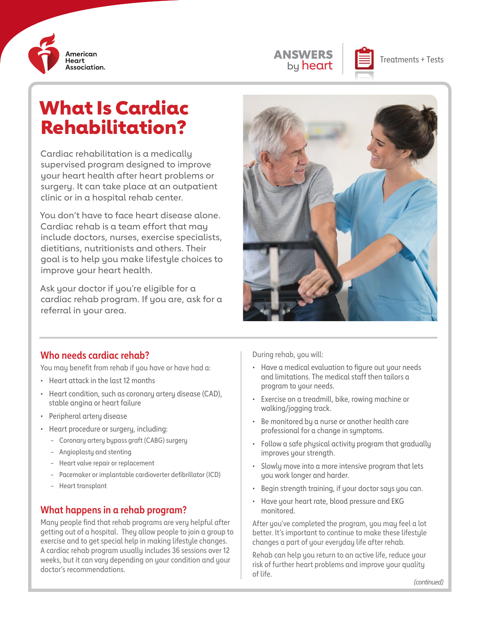



# What Is Cardiac Rehabilitation?

Cardiac rehabilitation is a medically supervised program designed to improve your heart health after heart problems or surgery. It can take place at an outpatient clinic or in a hospital rehab center.

You don't have to face heart disease alone. Cardiac rehab is a team effort that may include doctors, nurses, exercise specialists, dietitians, nutritionists and others. Their goal is to help you make lifestyle choices to improve your heart health.

Ask your doctor if you're eligible for a cardiac rehab program. If you are, ask for a referral in your area.



#### **Who needs cardiac rehab?**

You may benefit from rehab if you have or have had a:

- Heart attack in the last 12 months
- Heart condition, such as coronary artery disease (CAD), stable angina or heart failure
- Peripheral artery disease
- Heart procedure or surgery, including:
	- Coronary artery bypass graft (CABG) surgery
	- Angioplasty and stenting
	- Heart valve repair or replacement
	- Pacemaker or implantable cardioverter defibrillator (ICD)
	- Heart transplant

#### **What happens in a rehab program?**

Many people find that rehab programs are very helpful after getting out of a hospital. They allow people to join a group to exercise and to get special help in making lifestyle changes. A cardiac rehab program usually includes 36 sessions over 12 weeks, but it can vary depending on your condition and your doctor's recommendations.

During rehab, you will:

- Have a medical evaluation to figure out your needs and limitations. The medical staff then tailors a program to your needs.
- Exercise on a treadmill, bike, rowing machine or walking/jogging track.
- Be monitored by a nurse or another health care professional for a change in symptoms.
- Follow a safe physical activity program that gradually improves your strength.
- Slowly move into a more intensive program that lets you work longer and harder.
- Begin strength training, if your doctor says you can.
- Have your heart rate, blood pressure and EKG monitored.

After you've completed the program, you may feel a lot better. It's important to continue to make these lifestyle changes a part of your everyday life after rehab.

Rehab can help you return to an active life, reduce your risk of further heart problems and improve your quality of life.